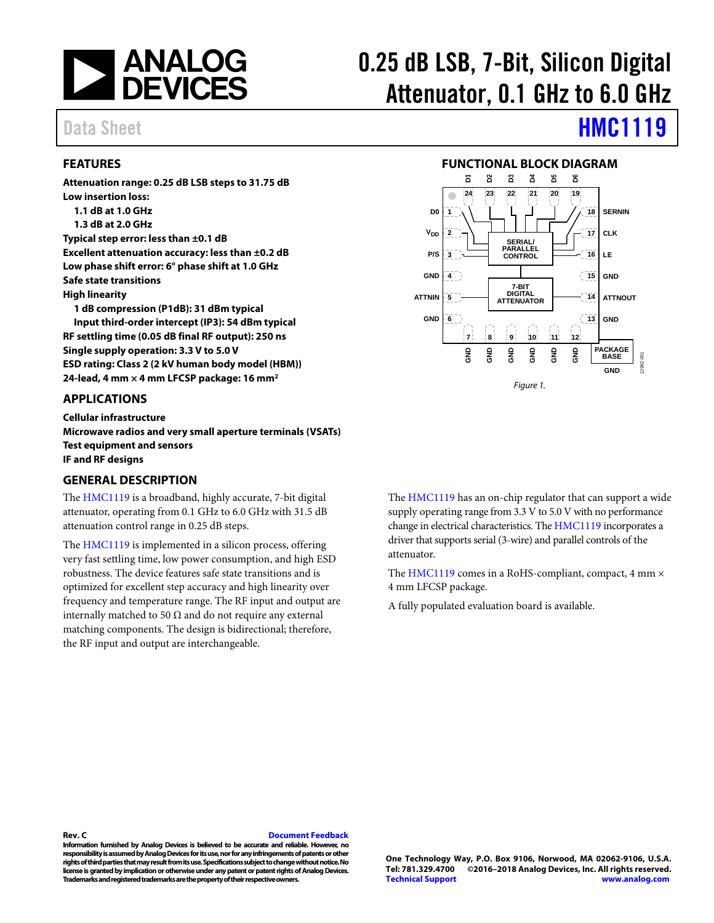

### <span id="page-0-0"></span>**FEATURES**

**Attenuation range: 0.25 dB LSB steps to 31.75 dB Low insertion loss: 1.1 dB at 1.0 GHz 1.3 dB at 2.0 GHz Typical step error: less than ±0.1 dB Excellent attenuation accuracy: less than ±0.2 dB Low phase shift error: 6° phase shift at 1.0 GHz Safe state transitions High linearity 1 dB compression (P1dB): 31 dBm typical Input third-order intercept (IP3): 54 dBm typical RF settling time (0.05 dB final RF output): 250 ns Single supply operation: 3.3 V to 5.0 V ESD rating: Class 2 (2 kV human body model (HBM))** 

**24-lead, 4 mm × 4 mm LFCSP package: 16 mm2**

<span id="page-0-1"></span>**APPLICATIONS**

**Cellular infrastructure Microwave radios and very small aperture terminals (VSATs) Test equipment and sensors IF and RF designs**

### <span id="page-0-3"></span>**GENERAL DESCRIPTION**

The [HMC1119](http://www.analog.com/HMC1119?doc=HMC1119.pdf) is a broadband, highly accurate, 7-bit digital attenuator, operating from 0.1 GHz to 6.0 GHz with 31.5 dB attenuation control range in 0.25 dB steps.

The [HMC1119](http://www.analog.com/HMC1119?doc=HMC1119.pdf) is implemented in a silicon process, offering very fast settling time, low power consumption, and high ESD robustness. The device features safe state transitions and is optimized for excellent step accuracy and high linearity over frequency and temperature range. The RF input and output are internally matched to 50  $\Omega$  and do not require any external matching components. The design is bidirectional; therefore, the RF input and output are interchangeable.

# 0.25 dB LSB, 7-Bit, Silicon Digital Attenuator, 0.1 GHz to 6.0 GHz

# Data Sheet **[HMC1119](http://www.analog.com/HMC1119?doc=HMC1119.pdf)**

#### **FUNCTIONAL BLOCK DIAGRAM**

<span id="page-0-2"></span>

The [HMC1119](http://www.analog.com/HMC1119?doc=HMC1119.pdf) has an on-chip regulator that can support a wide supply operating range from 3.3 V to 5.0 V with no performance change in electrical characteristics. Th[e HMC1119](http://www.analog.com/HMC1119?doc=HMC1119.pdf) incorporates a driver that supports serial (3-wire) and parallel controls of the attenuator.

The [HMC1119](http://www.analog.com/HMC1119?doc=HMC1119.pdf) comes in a RoHS-compliant, compact, 4 mm  $\times$ 4 mm LFCSP package.

A fully populated evaluation board is available.

#### **Rev. C [Document Feedback](https://form.analog.com/Form_Pages/feedback/documentfeedback.aspx?doc=HMC1119.pdf&product=HMC1119&rev=C)**

**Information furnished by Analog Devices is believed to be accurate and reliable. However, no responsibility is assumed by Analog Devices for its use, nor for any infringements of patents or other rights of third parties that may result from its use. Specifications subject to change without notice. No license is granted by implication or otherwise under any patent or patent rights of Analog Devices. Trademarks and registered trademarks are the property of their respective owners.**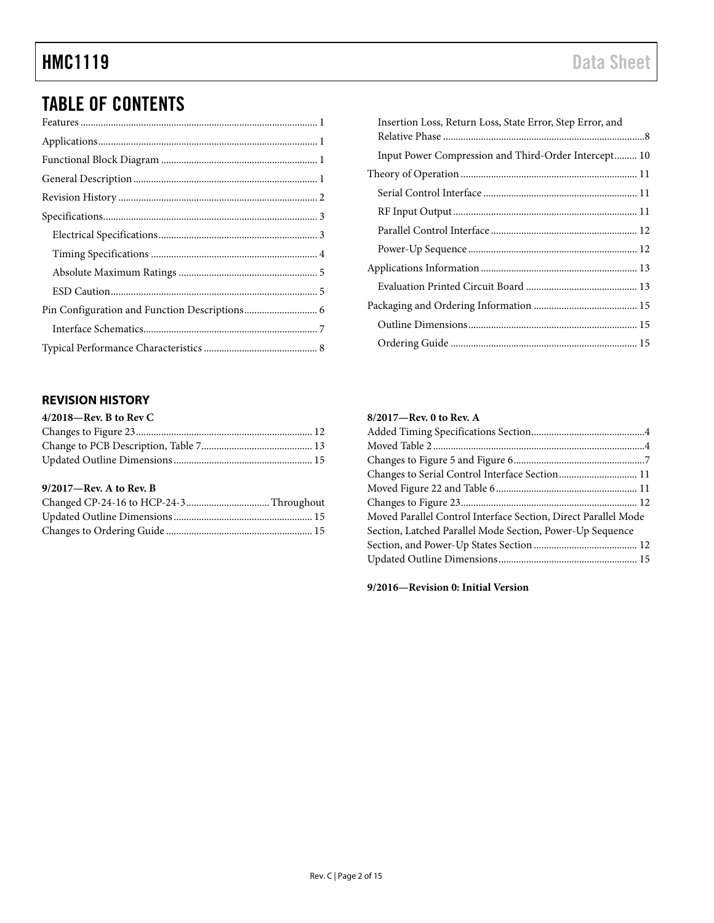# TABLE OF CONTENTS

# <span id="page-1-0"></span>**REVISION HISTORY**

| $4/2018$ —Rev. B to Rev C |  |
|---------------------------|--|
|                           |  |
|                           |  |
|                           |  |
|                           |  |

## **9/2017—Rev. A to Rev. B**

| Insertion Loss, Return Loss, State Error, Step Error, and |  |
|-----------------------------------------------------------|--|
| Input Power Compression and Third-Order Intercept 10      |  |
|                                                           |  |
|                                                           |  |
|                                                           |  |
|                                                           |  |
|                                                           |  |
|                                                           |  |
|                                                           |  |
|                                                           |  |
|                                                           |  |
|                                                           |  |

## **8/2017—Rev. 0 to Rev. A**

| Moved Parallel Control Interface Section, Direct Parallel Mode |  |
|----------------------------------------------------------------|--|
| Section, Latched Parallel Mode Section, Power-Up Sequence      |  |
|                                                                |  |
|                                                                |  |
|                                                                |  |

**9/2016—Revision 0: Initial Version**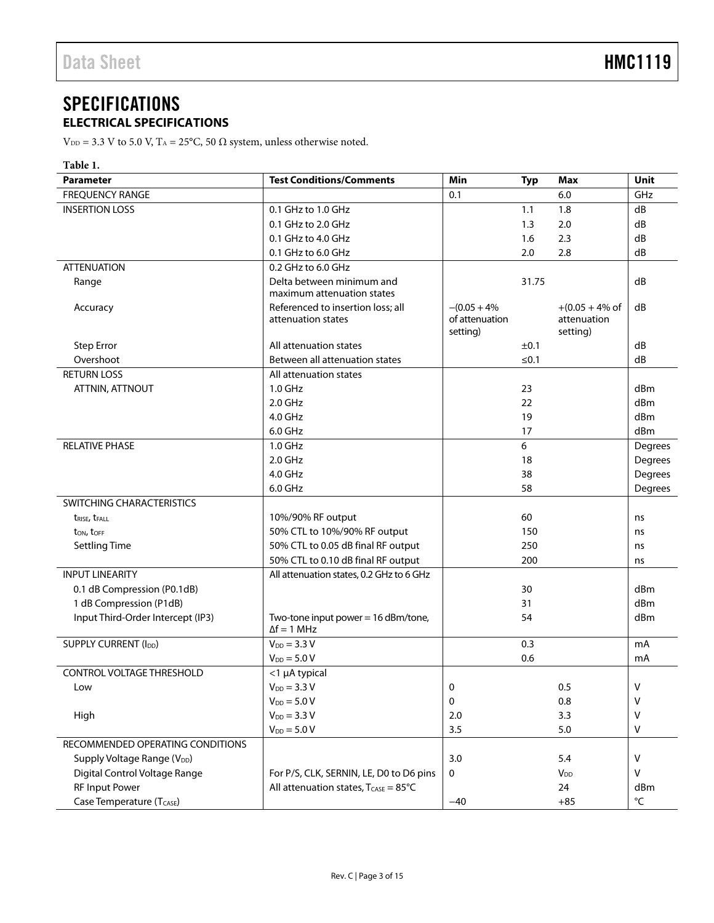# <span id="page-2-0"></span>**SPECIFICATIONS ELECTRICAL SPECIFICATIONS**

<span id="page-2-1"></span> $V_{DD}$  = 3.3 V to 5.0 V, T<sub>A</sub> = 25°C, 50  $\Omega$  system, unless otherwise noted.

| ۹<br>٠ |
|--------|
|--------|

| <b>Parameter</b>                        | <b>Test Conditions/Comments</b>                                | Min             | <b>Typ</b>     | <b>Max</b>                | <b>Unit</b>       |
|-----------------------------------------|----------------------------------------------------------------|-----------------|----------------|---------------------------|-------------------|
| <b>FREQUENCY RANGE</b>                  |                                                                | 0.1             |                | 6.0                       | GHz               |
| <b>INSERTION LOSS</b>                   | 0.1 GHz to 1.0 GHz                                             |                 | 1.1            | 1.8                       | dB                |
|                                         | 0.1 GHz to 2.0 GHz                                             |                 | 1.3            | 2.0                       | dB                |
|                                         | 0.1 GHz to 4.0 GHz                                             |                 | 1.6            | 2.3                       | dB                |
|                                         | 0.1 GHz to 6.0 GHz                                             |                 | 2.0            | 2.8                       | dB                |
| <b>ATTENUATION</b>                      | 0.2 GHz to 6.0 GHz                                             |                 |                |                           |                   |
| Range                                   | Delta between minimum and                                      |                 | 31.75          |                           | dB                |
|                                         | maximum attenuation states                                     |                 |                |                           |                   |
| Accuracy                                | Referenced to insertion loss; all                              | $-(0.05 + 4\%)$ |                | $+(0.05 + 4\% \text{ of}$ | dB                |
|                                         | attenuation states                                             | of attenuation  |                | attenuation               |                   |
|                                         |                                                                | setting)        |                | setting)                  |                   |
| <b>Step Error</b><br>Overshoot          | All attenuation states<br>Between all attenuation states       |                 | ±0.1<br>$≤0.1$ |                           | dB<br>dB          |
|                                         |                                                                |                 |                |                           |                   |
| <b>RETURN LOSS</b>                      | All attenuation states<br>$1.0$ GHz                            |                 |                |                           | dBm               |
| ATTNIN, ATTNOUT                         | $2.0$ GHz                                                      |                 | 23<br>22       |                           | dBm               |
|                                         | 4.0 GHz                                                        |                 | 19             |                           | dBm               |
|                                         | $6.0$ GHz                                                      |                 |                |                           | dBm               |
|                                         |                                                                |                 | 17             |                           |                   |
| <b>RELATIVE PHASE</b>                   | $1.0$ GHz<br>$2.0$ GHz                                         |                 | 6<br>18        |                           | Degrees           |
|                                         | 4.0 GHz                                                        |                 |                |                           | Degrees           |
|                                         | 6.0 GHz                                                        |                 | 38<br>58       |                           | Degrees           |
| SWITCHING CHARACTERISTICS               |                                                                |                 |                |                           | Degrees           |
|                                         | 10%/90% RF output                                              |                 | 60             |                           |                   |
| t <sub>RISE</sub> , t <sub>FALL</sub>   | 50% CTL to 10%/90% RF output                                   |                 | 150            |                           | ns                |
| ton, toff<br><b>Settling Time</b>       | 50% CTL to 0.05 dB final RF output                             |                 | 250            |                           | ns                |
|                                         | 50% CTL to 0.10 dB final RF output                             |                 | 200            |                           | ns                |
| <b>INPUT LINEARITY</b>                  | All attenuation states, 0.2 GHz to 6 GHz                       |                 |                |                           | ns                |
| 0.1 dB Compression (P0.1dB)             |                                                                |                 | 30             |                           | dBm               |
| 1 dB Compression (P1dB)                 |                                                                |                 | 31             |                           | dBm               |
| Input Third-Order Intercept (IP3)       | Two-tone input power = $16$ dBm/tone,                          |                 | 54             |                           | dBm               |
|                                         | $\Delta f = 1$ MHz                                             |                 |                |                           |                   |
| <b>SUPPLY CURRENT (IDD)</b>             | $V_{DD} = 3.3 V$                                               |                 | 0.3            |                           | mA                |
|                                         | $V_{DD} = 5.0 V$                                               |                 | 0.6            |                           | mA                |
| <b>CONTROL VOLTAGE THRESHOLD</b>        | <1 µA typical                                                  |                 |                |                           |                   |
| Low                                     | $V_{DD} = 3.3 V$                                               | 0               |                | 0.5                       | V                 |
|                                         | $V_{DD} = 5.0 V$                                               | 0               |                | 0.8                       | V                 |
| High                                    | $V_{DD} = 3.3 V$                                               | 2.0             |                | 3.3                       | V                 |
|                                         | $V_{DD} = 5.0 V$                                               | 3.5             |                | 5.0                       | $\vee$            |
| RECOMMENDED OPERATING CONDITIONS        |                                                                |                 |                |                           |                   |
| Supply Voltage Range (V <sub>DD</sub> ) |                                                                | 3.0             |                | 5.4                       | $\vee$            |
| Digital Control Voltage Range           | For P/S, CLK, SERNIN, LE, D0 to D6 pins                        | 0               |                | <b>V</b> <sub>DD</sub>    | $\vee$            |
| <b>RF Input Power</b>                   | All attenuation states, $T_{\text{CASE}} = 85^{\circ}\text{C}$ |                 |                | 24                        | dBm               |
| Case Temperature (TCASE)                |                                                                | $-40$           |                | $+85$                     | $^{\circ}{\sf C}$ |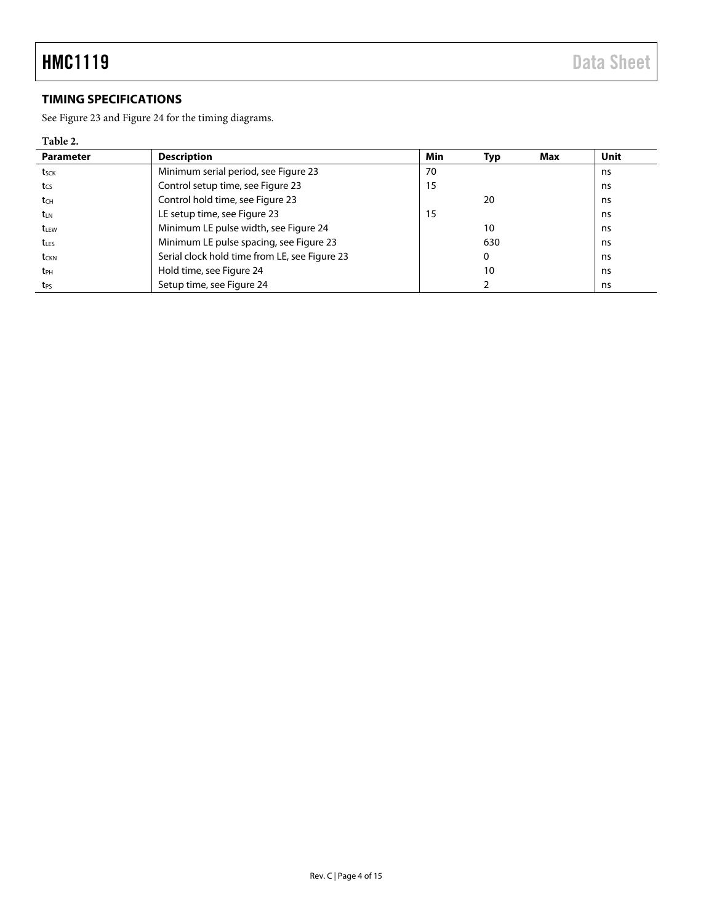# <span id="page-3-0"></span>**TIMING SPECIFICATIONS**

See [Figure 23](#page-11-2) and [Figure 24](#page-11-3) for the timing diagrams.

## **Table 2.**

| <b>Parameter</b> | <b>Description</b>                            | Min | Typ | Max | Unit |
|------------------|-----------------------------------------------|-----|-----|-----|------|
| tsck             | Minimum serial period, see Figure 23          | 70  |     |     | ns   |
| t <sub>cs</sub>  | Control setup time, see Figure 23             | 15  |     |     | ns   |
| t <sub>CH</sub>  | Control hold time, see Figure 23              |     | 20  |     |      |
| t <sub>LN</sub>  | LE setup time, see Figure 23                  | 15  |     |     | ns   |
| t <sub>LEW</sub> | Minimum LE pulse width, see Figure 24         |     | 10  |     | ns   |
| $t_{\text{LES}}$ | Minimum LE pulse spacing, see Figure 23       | 630 |     |     | ns   |
| t <sub>CKN</sub> | Serial clock hold time from LE, see Figure 23 | 0   |     |     | ns   |
| t <sub>PH</sub>  | Hold time, see Figure 24                      |     | 10  |     | ns   |
| t <sub>PS</sub>  | Setup time, see Figure 24                     |     |     |     | ns   |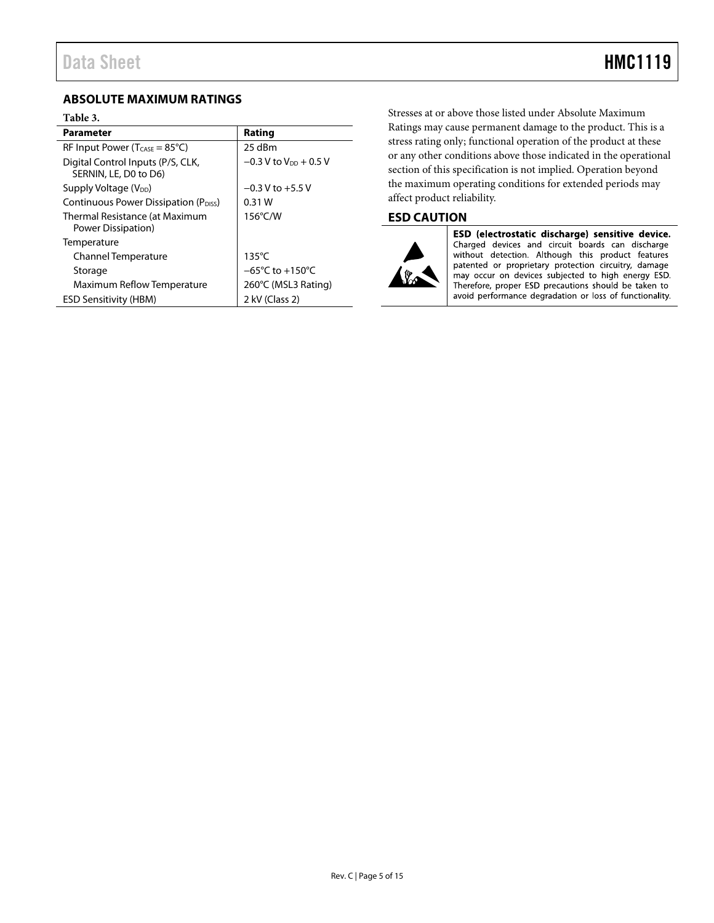## <span id="page-4-0"></span>**ABSOLUTE MAXIMUM RATINGS**

#### **Table 3.**

| <b>Parameter</b>                                           | Rating                               |
|------------------------------------------------------------|--------------------------------------|
| RF Input Power ( $T_{\text{CASE}} = 85^{\circ}C$ )         | 25 dBm                               |
| Digital Control Inputs (P/S, CLK,<br>SERNIN, LE, D0 to D6) | $-0.3$ V to V <sub>pp</sub> $+0.5$ V |
| Supply Voltage (V <sub>DD</sub> )                          | $-0.3$ V to $+5.5$ V                 |
| Continuous Power Dissipation (P <sub>DISS</sub> )          | 0.31W                                |
| Thermal Resistance (at Maximum<br>Power Dissipation)       | 156°C/W                              |
| Temperature                                                |                                      |
| <b>Channel Temperature</b>                                 | $135^{\circ}$ C                      |
| Storage                                                    | $-65^{\circ}$ C to +150 $^{\circ}$ C |
| Maximum Reflow Temperature                                 | 260°C (MSL3 Rating)                  |
| <b>ESD Sensitivity (HBM)</b>                               | 2 kV (Class 2)                       |

Stresses at or above those listed under Absolute Maximum Ratings may cause permanent damage to the product. This is a stress rating only; functional operation of the product at these or any other conditions above those indicated in the operational section of this specification is not implied. Operation beyond the maximum operating conditions for extended periods may affect product reliability.

## <span id="page-4-1"></span>**ESD CAUTION**



ESD (electrostatic discharge) sensitive device. Charged devices and circuit boards can discharge without detection. Although this product features patented or proprietary protection circuitry, damage<br>may occur on devices subjected to high energy ESD. Therefore, proper ESD precautions should be taken to avoid performance degradation or loss of functionality.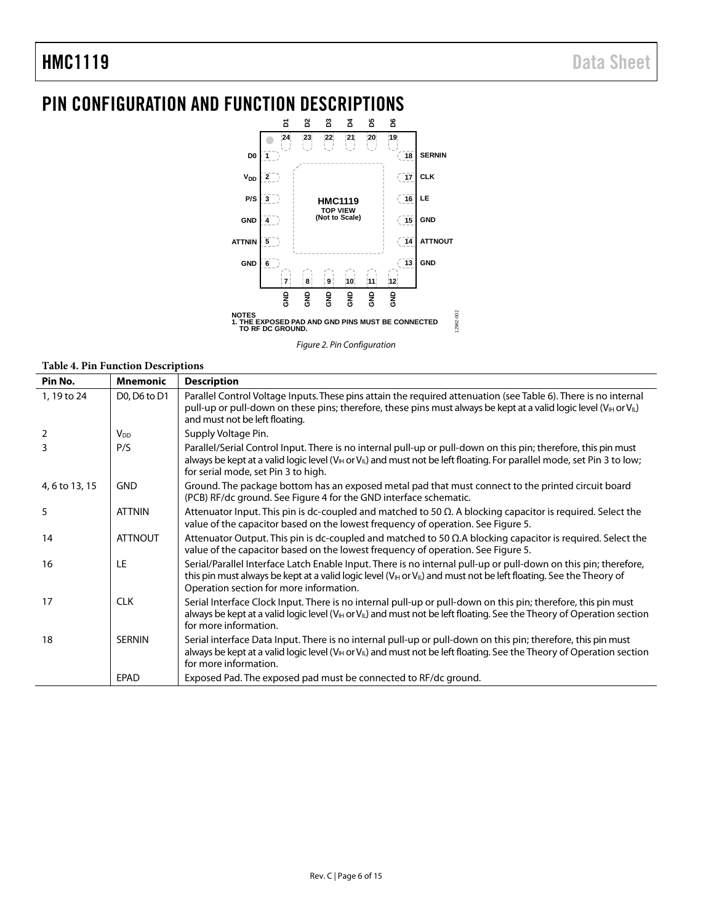# <span id="page-5-0"></span>PIN CONFIGURATION AND FUNCTION DESCRIPTIONS



*Figure 2. Pin Configuration*

12962-002

### **Table 4. Pin Function Descriptions**

| Pin No.        | <b>Mnemonic</b>        | <b>Description</b>                                                                                                                                                                                                                                                                                          |
|----------------|------------------------|-------------------------------------------------------------------------------------------------------------------------------------------------------------------------------------------------------------------------------------------------------------------------------------------------------------|
| 1, 19 to 24    | D0, D6 to D1           | Parallel Control Voltage Inputs. These pins attain the required attenuation (see Table 6). There is no internal<br>pull-up or pull-down on these pins; therefore, these pins must always be kept at a valid logic level (V <sub>IH</sub> or V <sub>IL</sub> )<br>and must not be left floating.             |
| 2              | <b>V</b> <sub>DD</sub> | Supply Voltage Pin.                                                                                                                                                                                                                                                                                         |
| 3              | P/S                    | Parallel/Serial Control Input. There is no internal pull-up or pull-down on this pin; therefore, this pin must<br>always be kept at a valid logic level ( $V_{\text{III}}$ or $V_{\text{III}}$ ) and must not be left floating. For parallel mode, set Pin 3 to low;<br>for serial mode, set Pin 3 to high. |
| 4, 6 to 13, 15 | <b>GND</b>             | Ground. The package bottom has an exposed metal pad that must connect to the printed circuit board<br>(PCB) RF/dc ground. See Figure 4 for the GND interface schematic.                                                                                                                                     |
| 5              | <b>ATTNIN</b>          | Attenuator Input. This pin is dc-coupled and matched to 50 $\Omega$ . A blocking capacitor is required. Select the<br>value of the capacitor based on the lowest frequency of operation. See Figure 5.                                                                                                      |
| 14             | <b>ATTNOUT</b>         | Attenuator Output. This pin is dc-coupled and matched to 50 $\Omega$ . A blocking capacitor is required. Select the<br>value of the capacitor based on the lowest frequency of operation. See Figure 5.                                                                                                     |
| 16             | LE                     | Serial/Parallel Interface Latch Enable Input. There is no internal pull-up or pull-down on this pin; therefore,<br>this pin must always be kept at a valid logic level ( $V_{\parallel}$ or $V_{\parallel}$ ) and must not be left floating. See the Theory of<br>Operation section for more information.   |
| 17             | <b>CLK</b>             | Serial Interface Clock Input. There is no internal pull-up or pull-down on this pin; therefore, this pin must<br>always be kept at a valid logic level (V <sub>IH</sub> or V <sub>IL</sub> ) and must not be left floating. See the Theory of Operation section<br>for more information.                    |
| 18             | <b>SERNIN</b>          | Serial interface Data Input. There is no internal pull-up or pull-down on this pin; therefore, this pin must<br>always be kept at a valid logic level (V <sub>IH</sub> or V <sub>IL</sub> ) and must not be left floating. See the Theory of Operation section<br>for more information.                     |
|                | <b>EPAD</b>            | Exposed Pad. The exposed pad must be connected to RF/dc ground.                                                                                                                                                                                                                                             |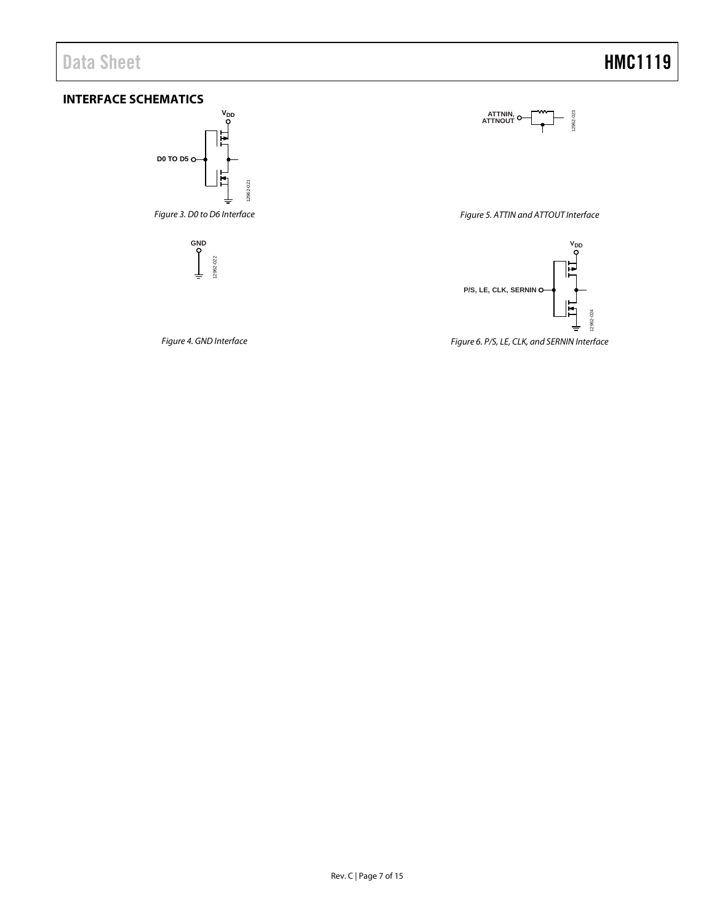# <span id="page-6-0"></span>**INTERFACE SCHEMATICS**



<span id="page-6-1"></span>*Figure 4. GND Interface*

<span id="page-6-2"></span>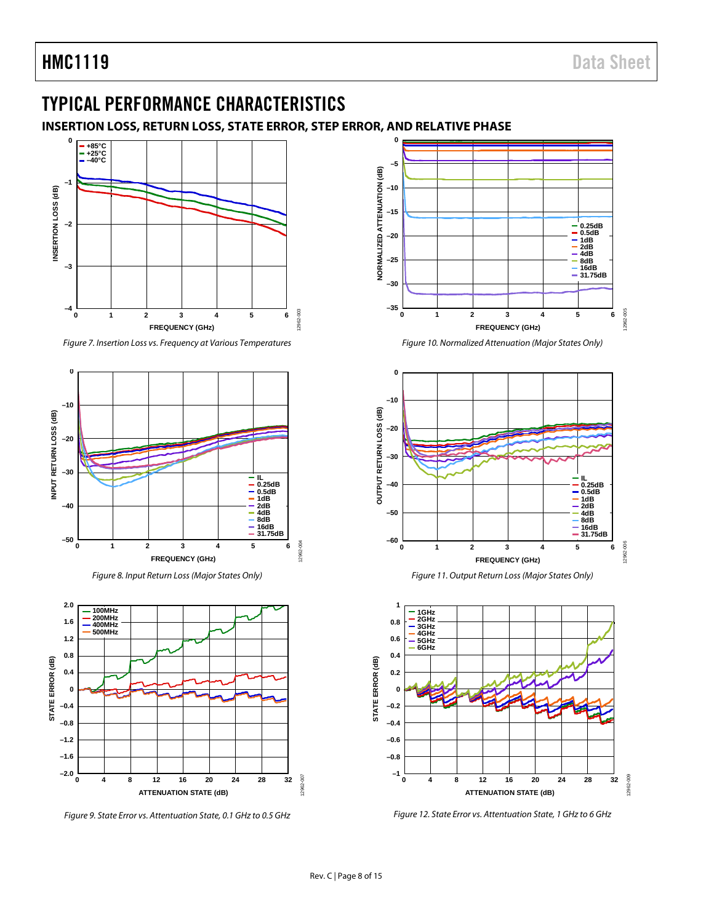# <span id="page-7-0"></span>TYPICAL PERFORMANCE CHARACTERISTICS

# <span id="page-7-1"></span>**INSERTION LOSS, RETURN LOSS, STATE ERROR, STEP ERROR, AND RELATIVE PHASE**



*Figure 7. Insertion Loss vs. Frequency at Various Temperatures*







*Figure 9. State Error vs. Attentuation State, 0.1 GHz to 0.5 GHz*



*Figure 10. Normalized Attenuation (Major States Only)*







*Figure 12. State Error vs. Attentuation State, 1 GHz to 6 GHz*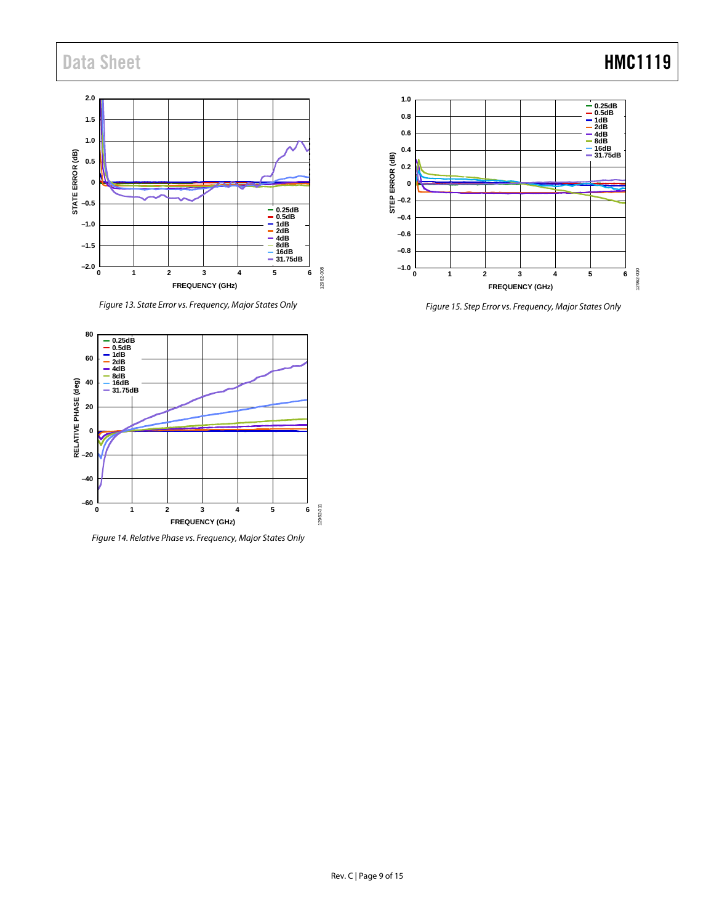# Data Sheet **HMC1119**



*Figure 13. State Error vs. Frequency, Major States Only*



*Figure 14. Relative Phase vs. Frequency, Major States Only*



*Figure 15. Step Error vs. Frequency, Major States Only*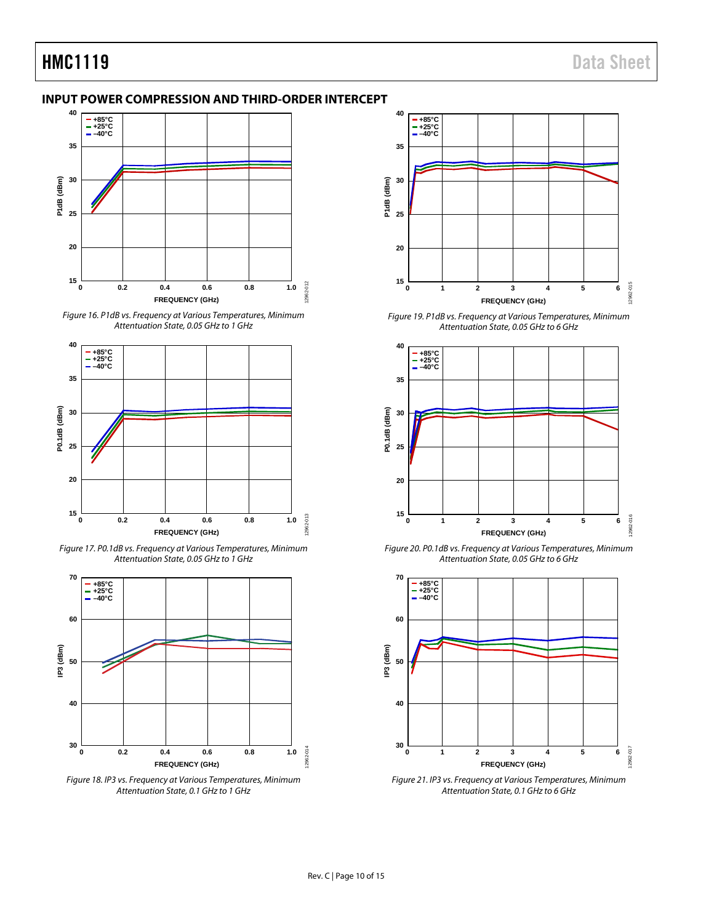## <span id="page-9-0"></span>**INPUT POWER COMPRESSION AND THIRD-ORDER INTERCEPT**



*Figure 16. P1dB vs. Frequency at Various Temperatures, Minimum Attentuation State, 0.05 GHz to 1 GHz*



*Figure 17. P0.1dB vs. Frequency at Various Temperatures, Minimum Attentuation State, 0.05 GHz to 1 GHz*



*Figure 18. IP3 vs. Frequency at Various Temperatures, Minimum Attentuation State, 0.1 GHz to 1 GHz*



*Figure 19. P1dB vs. Frequency at Various Temperatures, Minimum Attentuation State, 0.05 GHz to 6 GHz*



*Figure 20. P0.1dB vs. Frequency at Various Temperatures, Minimum Attentuation State, 0.05 GHz to 6 GHz*



*Figure 21. IP3 vs. Frequency at Various Temperatures, Minimum Attentuation State, 0.1 GHz to 6 GHz*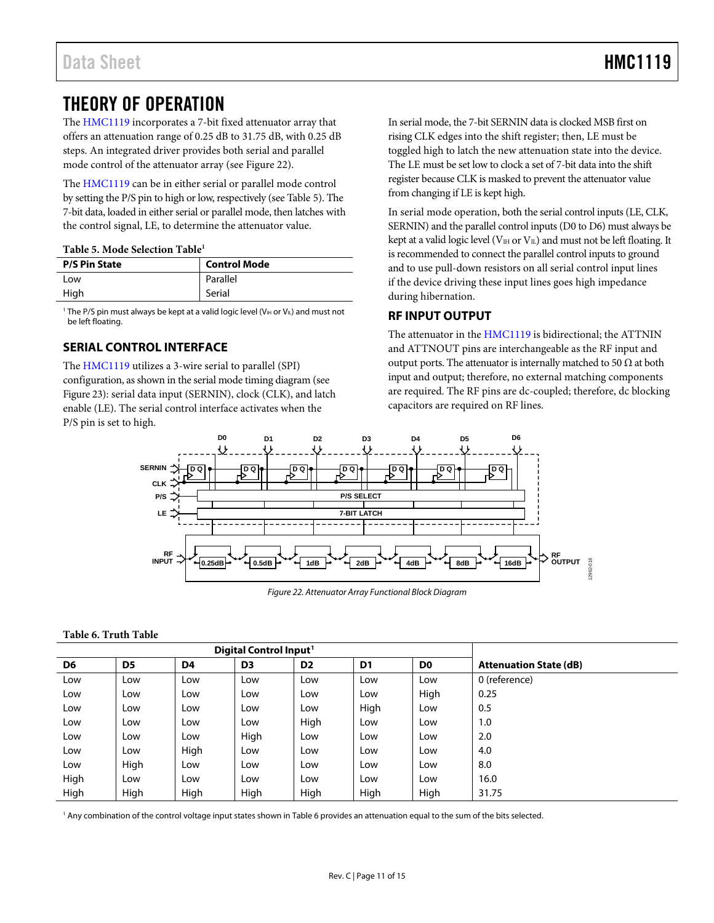# <span id="page-10-0"></span>THEORY OF OPERATION

The [HMC1119](http://www.analog.com/HMC1119?doc=HMC1119.pdf) incorporates a 7-bit fixed attenuator array that offers an attenuation range of 0.25 dB to 31.75 dB, with 0.25 dB steps. An integrated driver provides both serial and parallel mode control of the attenuator array (see [Figure 22\)](#page-10-4).

The [HMC1119](http://www.analog.com/HMC1119?doc=HMC1119.pdf) can be in either serial or parallel mode control by setting the P/S pin to high or low, respectively (se[e Table 5\)](#page-10-5). The 7-bit data, loaded in either serial or parallel mode, then latches with the control signal, LE, to determine the attenuator value.

#### <span id="page-10-5"></span>**Table 5. Mode Selection Table1**

| <b>P/S Pin State</b> | <b>Control Mode</b> |
|----------------------|---------------------|
| Low                  | Parallel            |
| High                 | Serial              |

<sup>1</sup> The P/S pin must always be kept at a valid logic level ( $V_{\text{III}}$  or  $V_{\text{IL}}$ ) and must not be left floating.

# <span id="page-10-1"></span>**SERIAL CONTROL INTERFACE**

The [HMC1119](http://www.analog.com/HMC1119?doc=HMC1119.pdf) utilizes a 3-wire serial to parallel (SPI) configuration, as shown in the serial mode timing diagram (see [Figure 23\)](#page-11-2): serial data input (SERNIN), clock (CLK), and latch enable (LE). The serial control interface activates when the P/S pin is set to high.

In serial mode, the 7-bit SERNIN data is clocked MSB first on rising CLK edges into the shift register; then, LE must be toggled high to latch the new attenuation state into the device. The LE must be set low to clock a set of 7-bit data into the shift register because CLK is masked to prevent the attenuator value from changing if LE is kept high.

In serial mode operation, both the serial control inputs (LE, CLK, SERNIN) and the parallel control inputs (D0 to D6) must always be kept at a valid logic level ( $V_{\text{IH}}$  or  $V_{\text{IL}}$ ) and must not be left floating. It is recommended to connect the parallel control inputs to ground and to use pull-down resistors on all serial control input lines if the device driving these input lines goes high impedance during hibernation.

## <span id="page-10-2"></span>**RF INPUT OUTPUT**

The attenuator in the [HMC1119](http://www.analog.com/HMC1119?doc=HMC1119.pdf) is bidirectional; the ATTNIN and ATTNOUT pins are interchangeable as the RF input and output ports. The attenuator is internally matched to 50  $\Omega$  at both input and output; therefore, no external matching components are required. The RF pins are dc-coupled; therefore, dc blocking capacitors are required on RF lines.



*Figure 22. Attenuator Array Functional Block Diagram*

### <span id="page-10-4"></span><span id="page-10-3"></span>**Table 6. Truth Table**

| Digital Control Input <sup>1</sup> |                |                |                |                |                |                |                               |
|------------------------------------|----------------|----------------|----------------|----------------|----------------|----------------|-------------------------------|
| D <sub>6</sub>                     | D <sub>5</sub> | D <sub>4</sub> | D <sub>3</sub> | D <sub>2</sub> | D <sub>1</sub> | D <sub>0</sub> | <b>Attenuation State (dB)</b> |
| Low                                | Low            | Low            | Low            | Low            | Low            | Low            | 0 (reference)                 |
| Low                                | Low            | Low            | Low            | Low            | Low            | High           | 0.25                          |
| Low                                | Low            | Low            | Low            | Low            | High           | Low            | 0.5                           |
| Low                                | Low            | Low            | Low            | High           | Low            | Low            | 1.0                           |
| Low                                | Low            | Low            | High           | Low            | Low            | Low            | 2.0                           |
| Low                                | Low            | High           | Low            | Low            | Low            | Low            | 4.0                           |
| Low                                | High           | Low            | Low            | Low            | Low            | Low            | 8.0                           |
| High                               | Low            | Low            | Low            | Low            | Low            | Low            | 16.0                          |
| High                               | High           | High           | High           | High           | High           | High           | 31.75                         |

<sup>1</sup> Any combination of the control voltage input states shown i[n Table 6](#page-10-3) provides an attenuation equal to the sum of the bits selected.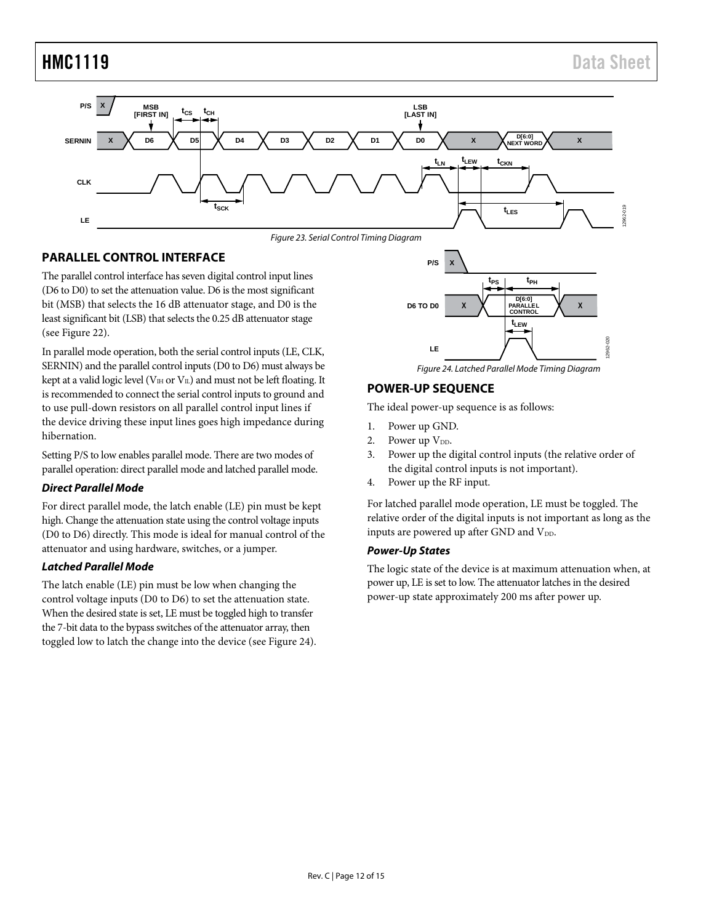

Figure 23. Serial Control Timing Diagram

## <span id="page-11-2"></span><span id="page-11-0"></span>**PARALLEL CONTROL INTERFACE**

The parallel control interface has seven digital control input lines (D6 to D0) to set the attenuation value. D6 is the most significant bit (MSB) that selects the 16 dB attenuator stage, and D0 is the least significant bit (LSB) that selects the 0.25 dB attenuator stage (see [Figure 22\)](#page-10-4).

In parallel mode operation, both the serial control inputs (LE, CLK, SERNIN) and the parallel control inputs (D0 to D6) must always be kept at a valid logic level ( $V_{\text{H}}$  or  $V_{\text{II}}$ ) and must not be left floating. It is recommended to connect the serial control inputs to ground and to use pull-down resistors on all parallel control input lines if the device driving these input lines goes high impedance during hibernation.

Setting P/S to low enables parallel mode. There are two modes of parallel operation: direct parallel mode and latched parallel mode.

### **Direct Parallel Mode**

For direct parallel mode, the latch enable (LE) pin must be kept high. Change the attenuation state using the control voltage inputs (D0 to D6) directly. This mode is ideal for manual control of the attenuator and using hardware, switches, or a jumper.

### **Latched Parallel Mode**

The latch enable (LE) pin must be low when changing the control voltage inputs (D0 to D6) to set the attenuation state. When the desired state is set, LE must be toggled high to transfer the 7-bit data to the bypass switches of the attenuator array, then toggled low to latch the change into the device (se[e Figure 24\)](#page-11-3).

**X tPS tPH D[6:0] D6 TO D0 X**  $\bigwedge$  **PARALLEL**  $\bigwedge$  **X tLEW**  $020$ 12962-020 **LE** 2962

Figure 24. Latched Parallel Mode Timing Diagram

## <span id="page-11-3"></span><span id="page-11-1"></span>**POWER-UP SEQUENCE**

**P/S**

The ideal power-up sequence is as follows:

- 1. Power up GND.
- 2. Power up  $V_{DD}$ .
- 3. Power up the digital control inputs (the relative order of the digital control inputs is not important).
- 4. Power up the RF input.

For latched parallel mode operation, LE must be toggled. The relative order of the digital inputs is not important as long as the inputs are powered up after GND and V<sub>DD</sub>.

### **Power-Up States**

The logic state of the device is at maximum attenuation when, at power up, LE is set to low. The attenuator latches in the desired power-up state approximately 200 ms after power up.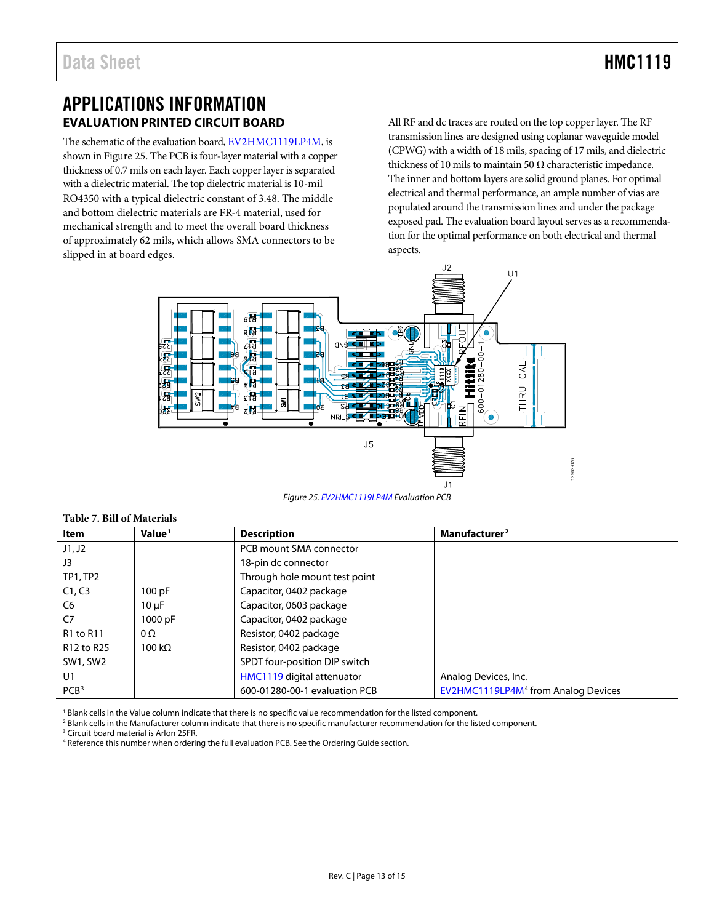# <span id="page-12-0"></span>APPLICATIONS INFORMATION **EVALUATION PRINTED CIRCUIT BOARD**

<span id="page-12-1"></span>The schematic of the evaluation board[, EV2HMC1119LP4M,](http://www.analog.com/eval-HMC1119?doc=HMC1119.pdf) is shown i[n Figure 25.](#page-12-2) The PCB is four-layer material with a copper thickness of 0.7 mils on each layer. Each copper layer is separated with a dielectric material. The top dielectric material is 10-mil RO4350 with a typical dielectric constant of 3.48. The middle and bottom dielectric materials are FR-4 material, used for mechanical strength and to meet the overall board thickness of approximately 62 mils, which allows SMA connectors to be slipped in at board edges.

All RF and dc traces are routed on the top copper layer. The RF transmission lines are designed using coplanar waveguide model (CPWG) with a width of 18 mils, spacing of 17 mils, and dielectric thickness of 10 mils to maintain 50  $\Omega$  characteristic impedance. The inner and bottom layers are solid ground planes. For optimal electrical and thermal performance, an ample number of vias are populated around the transmission lines and under the package exposed pad. The evaluation board layout serves as a recommendation for the optimal performance on both electrical and thermal aspects.



*Figure 25[. EV2HMC1119LP4M](http://www.analog.com/eval-HMC1119?doc=HMC1119.pdf) Evaluation PCB*

| Item             | Value <sup>1</sup> | <b>Description</b>            | Manufacturer <sup>2</sup>                       |  |  |  |
|------------------|--------------------|-------------------------------|-------------------------------------------------|--|--|--|
| J1, J2           |                    | PCB mount SMA connector       |                                                 |  |  |  |
| J3               |                    | 18-pin dc connector           |                                                 |  |  |  |
| TP1, TP2         |                    | Through hole mount test point |                                                 |  |  |  |
| C1, C3           | 100 pF             | Capacitor, 0402 package       |                                                 |  |  |  |
| C6               | $10 \mu F$         | Capacitor, 0603 package       |                                                 |  |  |  |
| C7               | 1000 pF            | Capacitor, 0402 package       |                                                 |  |  |  |
| <b>R1 to R11</b> | $0\Omega$          | Resistor, 0402 package        |                                                 |  |  |  |
| R12 to R25       | 100 k $\Omega$     | Resistor, 0402 package        |                                                 |  |  |  |
| SW1, SW2         |                    | SPDT four-position DIP switch |                                                 |  |  |  |
| U1               |                    | HMC1119 digital attenuator    | Analog Devices, Inc.                            |  |  |  |
| PCB <sup>3</sup> |                    | 600-01280-00-1 evaluation PCB | EV2HMC1119LP4M <sup>4</sup> from Analog Devices |  |  |  |

<sup>1</sup> Blank cells in the Value column indicate that there is no specific value recommendation for the listed component.

<sup>2</sup> Blank cells in the Manufacturer column indicate that there is no specific manufacturer recommendation for the listed component.

<sup>3</sup> Circuit board material is Arlon 25FR.

<span id="page-12-2"></span>**Table 7. Bill of Materials**

<sup>4</sup> Reference this number when ordering the full evaluation PCB. See th[e Ordering Guide](#page-14-2) section.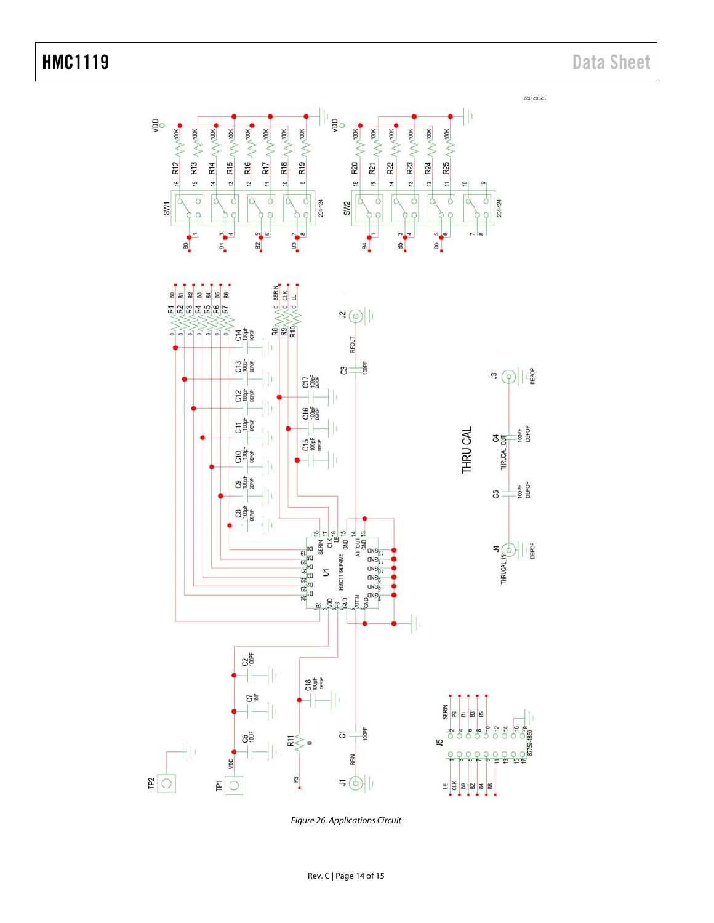

Figure 26. Applications Circuit